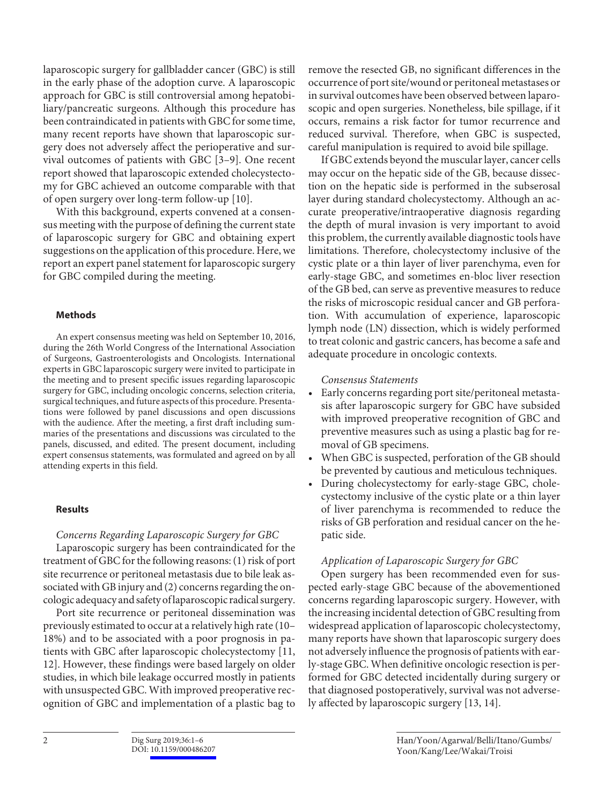laparoscopic surgery for gallbladder cancer (GBC) is still in the early phase of the adoption curve. A laparoscopic approach for GBC is still controversial among hepatobiliary/pancreatic surgeons. Although this procedure has been contraindicated in patients with GBC for some time, many recent reports have shown that laparoscopic surgery does not adversely affect the perioperative and survival outcomes of patients with GBC [3–9]. One recent report showed that laparoscopic extended cholecystectomy for GBC achieved an outcome comparable with that of open surgery over long-term follow-up [10].

With this background, experts convened at a consensus meeting with the purpose of defining the current state of laparoscopic surgery for GBC and obtaining expert suggestions on the application of this procedure. Here, we report an expert panel statement for laparoscopic surgery for GBC compiled during the meeting.

#### **Methods**

An expert consensus meeting was held on September 10, 2016, during the 26th World Congress of the International Association of Surgeons, Gastroenterologists and Oncologists. International experts in GBC laparoscopic surgery were invited to participate in the meeting and to present specific issues regarding laparoscopic surgery for GBC, including oncologic concerns, selection criteria, surgical techniques, and future aspects of this procedure. Presentations were followed by panel discussions and open discussions with the audience. After the meeting, a first draft including summaries of the presentations and discussions was circulated to the panels, discussed, and edited. The present document, including expert consensus statements, was formulated and agreed on by all attending experts in this field.

### **Results**

### *Concerns Regarding Laparoscopic Surgery for GBC*

Laparoscopic surgery has been contraindicated for the treatment of GBC for the following reasons: (1) risk of port site recurrence or peritoneal metastasis due to bile leak associated with GB injury and (2) concerns regarding the oncologic adequacy and safety of laparoscopic radical surgery.

Port site recurrence or peritoneal dissemination was previously estimated to occur at a relatively high rate (10– 18%) and to be associated with a poor prognosis in patients with GBC after laparoscopic cholecystectomy [11, 12]. However, these findings were based largely on older studies, in which bile leakage occurred mostly in patients with unsuspected GBC. With improved preoperative recognition of GBC and implementation of a plastic bag to

remove the resected GB, no significant differences in the occurrence of port site/wound or peritoneal metastases or in survival outcomes have been observed between laparoscopic and open surgeries. Nonetheless, bile spillage, if it occurs, remains a risk factor for tumor recurrence and reduced survival. Therefore, when GBC is suspected, careful manipulation is required to avoid bile spillage.

If GBC extends beyond the muscular layer, cancer cells may occur on the hepatic side of the GB, because dissection on the hepatic side is performed in the subserosal layer during standard cholecystectomy. Although an accurate preoperative/intraoperative diagnosis regarding the depth of mural invasion is very important to avoid this problem, the currently available diagnostic tools have limitations. Therefore, cholecystectomy inclusive of the cystic plate or a thin layer of liver parenchyma, even for early-stage GBC, and sometimes en-bloc liver resection of the GB bed, can serve as preventive measures to reduce the risks of microscopic residual cancer and GB perforation. With accumulation of experience, laparoscopic lymph node (LN) dissection, which is widely performed to treat colonic and gastric cancers, has become a safe and adequate procedure in oncologic contexts.

### *Consensus Statements*

- Early concerns regarding port site/peritoneal metastasis after laparoscopic surgery for GBC have subsided with improved preoperative recognition of GBC and preventive measures such as using a plastic bag for removal of GB specimens.
- When GBC is suspected, perforation of the GB should be prevented by cautious and meticulous techniques.
- During cholecystectomy for early-stage GBC, cholecystectomy inclusive of the cystic plate or a thin layer of liver parenchyma is recommended to reduce the risks of GB perforation and residual cancer on the hepatic side.

### *Application of Laparoscopic Surgery for GBC*

Open surgery has been recommended even for suspected early-stage GBC because of the abovementioned concerns regarding laparoscopic surgery. However, with the increasing incidental detection of GBC resulting from widespread application of laparoscopic cholecystectomy, many reports have shown that laparoscopic surgery does not adversely influence the prognosis of patients with early-stage GBC. When definitive oncologic resection is performed for GBC detected incidentally during surgery or that diagnosed postoperatively, survival was not adversely affected by laparoscopic surgery [13, 14].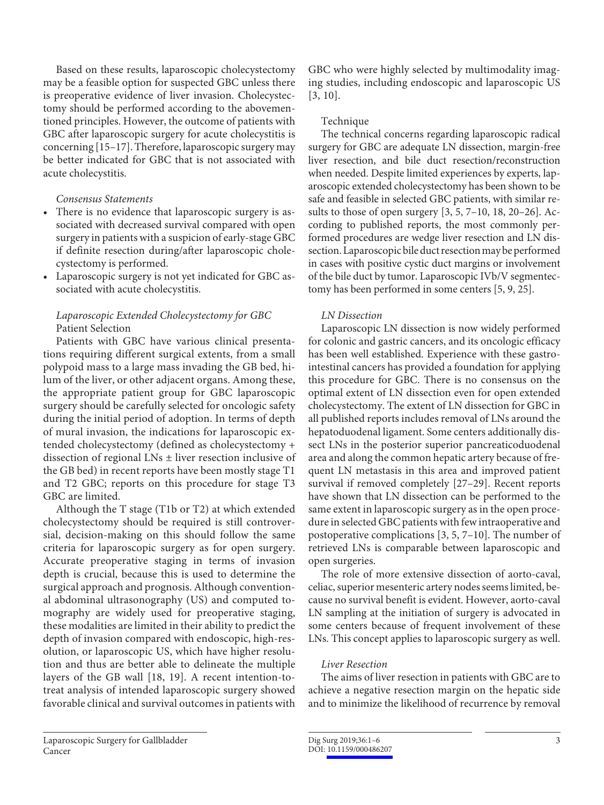Based on these results, laparoscopic cholecystectomy may be a feasible option for suspected GBC unless there is preoperative evidence of liver invasion. Cholecystectomy should be performed according to the abovementioned principles. However, the outcome of patients with GBC after laparoscopic surgery for acute cholecystitis is concerning [15–17]. Therefore, laparoscopic surgery may be better indicated for GBC that is not associated with acute cholecystitis.

## *Consensus Statements*

- There is no evidence that laparoscopic surgery is associated with decreased survival compared with open surgery in patients with a suspicion of early-stage GBC if definite resection during/after laparoscopic cholecystectomy is performed.
- Laparoscopic surgery is not yet indicated for GBC associated with acute cholecystitis.

## *Laparoscopic Extended Cholecystectomy for GBC* Patient Selection

Patients with GBC have various clinical presentations requiring different surgical extents, from a small polypoid mass to a large mass invading the GB bed, hilum of the liver, or other adjacent organs. Among these, the appropriate patient group for GBC laparoscopic surgery should be carefully selected for oncologic safety during the initial period of adoption. In terms of depth of mural invasion, the indications for laparoscopic extended cholecystectomy (defined as cholecystectomy + dissection of regional LNs ± liver resection inclusive of the GB bed) in recent reports have been mostly stage T1 and T2 GBC; reports on this procedure for stage T3 GBC are limited.

Although the T stage (T1b or T2) at which extended cholecystectomy should be required is still controversial, decision-making on this should follow the same criteria for laparoscopic surgery as for open surgery. Accurate preoperative staging in terms of invasion depth is crucial, because this is used to determine the surgical approach and prognosis. Although conventional abdominal ultrasonography (US) and computed tomography are widely used for preoperative staging, these modalities are limited in their ability to predict the depth of invasion compared with endoscopic, high-resolution, or laparoscopic US, which have higher resolution and thus are better able to delineate the multiple layers of the GB wall [18, 19]. A recent intention-totreat analysis of intended laparoscopic surgery showed favorable clinical and survival outcomes in patients with

GBC who were highly selected by multimodality imaging studies, including endoscopic and laparoscopic US [3, 10].

## Technique

The technical concerns regarding laparoscopic radical surgery for GBC are adequate LN dissection, margin-free liver resection, and bile duct resection/reconstruction when needed. Despite limited experiences by experts, laparoscopic extended cholecystectomy has been shown to be safe and feasible in selected GBC patients, with similar results to those of open surgery [3, 5, 7–10, 18, 20–26]. According to published reports, the most commonly performed procedures are wedge liver resection and LN dissection. Laparoscopic bile duct resection may be performed in cases with positive cystic duct margins or involvement of the bile duct by tumor. Laparoscopic IVb/V segmentectomy has been performed in some centers [5, 9, 25].

## *LN Dissection*

Laparoscopic LN dissection is now widely performed for colonic and gastric cancers, and its oncologic efficacy has been well established. Experience with these gastrointestinal cancers has provided a foundation for applying this procedure for GBC. There is no consensus on the optimal extent of LN dissection even for open extended cholecystectomy. The extent of LN dissection for GBC in all published reports includes removal of LNs around the hepatoduodenal ligament. Some centers additionally dissect LNs in the posterior superior pancreaticoduodenal area and along the common hepatic artery because of frequent LN metastasis in this area and improved patient survival if removed completely [27–29]. Recent reports have shown that LN dissection can be performed to the same extent in laparoscopic surgery as in the open procedure in selected GBC patients with few intraoperative and postoperative complications [3, 5, 7–10]. The number of retrieved LNs is comparable between laparoscopic and open surgeries.

The role of more extensive dissection of aorto-caval, celiac, superior mesenteric artery nodes seems limited, because no survival benefit is evident. However, aorto-caval LN sampling at the initiation of surgery is advocated in some centers because of frequent involvement of these LNs. This concept applies to laparoscopic surgery as well.

## *Liver Resection*

The aims of liver resection in patients with GBC are to achieve a negative resection margin on the hepatic side and to minimize the likelihood of recurrence by removal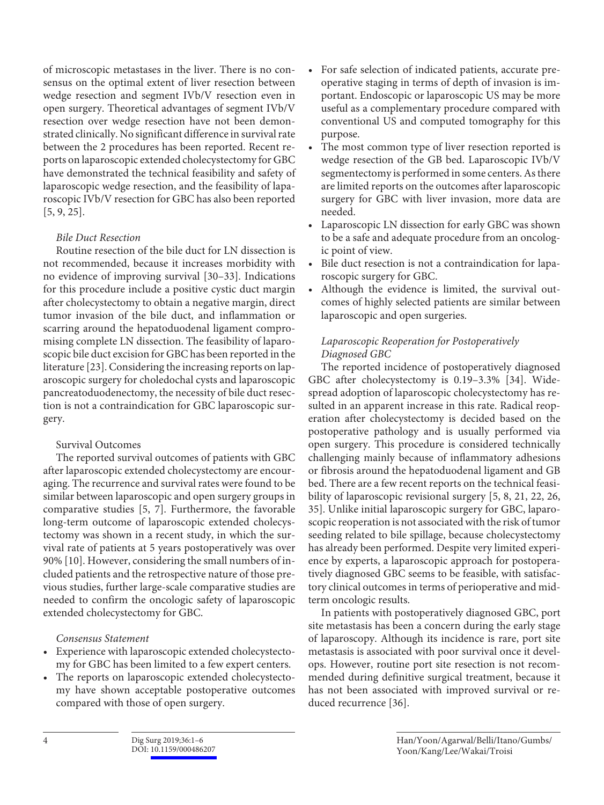of microscopic metastases in the liver. There is no consensus on the optimal extent of liver resection between wedge resection and segment IVb/V resection even in open surgery. Theoretical advantages of segment IVb/V resection over wedge resection have not been demonstrated clinically. No significant difference in survival rate between the 2 procedures has been reported. Recent reports on laparoscopic extended cholecystectomy for GBC have demonstrated the technical feasibility and safety of laparoscopic wedge resection, and the feasibility of laparoscopic IVb/V resection for GBC has also been reported [5, 9, 25].

## *Bile Duct Resection*

Routine resection of the bile duct for LN dissection is not recommended, because it increases morbidity with no evidence of improving survival [30–33]. Indications for this procedure include a positive cystic duct margin after cholecystectomy to obtain a negative margin, direct tumor invasion of the bile duct, and inflammation or scarring around the hepatoduodenal ligament compromising complete LN dissection. The feasibility of laparoscopic bile duct excision for GBC has been reported in the literature [23]. Considering the increasing reports on laparoscopic surgery for choledochal cysts and laparoscopic pancreatoduodenectomy, the necessity of bile duct resection is not a contraindication for GBC laparoscopic surgery.

# Survival Outcomes

The reported survival outcomes of patients with GBC after laparoscopic extended cholecystectomy are encouraging. The recurrence and survival rates were found to be similar between laparoscopic and open surgery groups in comparative studies [5, 7]. Furthermore, the favorable long-term outcome of laparoscopic extended cholecystectomy was shown in a recent study, in which the survival rate of patients at 5 years postoperatively was over 90% [10]. However, considering the small numbers of included patients and the retrospective nature of those previous studies, further large-scale comparative studies are needed to confirm the oncologic safety of laparoscopic extended cholecystectomy for GBC.

# *Consensus Statement*

- Experience with laparoscopic extended cholecystectomy for GBC has been limited to a few expert centers.
- The reports on laparoscopic extended cholecystectomy have shown acceptable postoperative outcomes compared with those of open surgery.
- For safe selection of indicated patients, accurate preoperative staging in terms of depth of invasion is important. Endoscopic or laparoscopic US may be more useful as a complementary procedure compared with conventional US and computed tomography for this purpose.
- The most common type of liver resection reported is wedge resection of the GB bed. Laparoscopic IVb/V segmentectomy is performed in some centers. As there are limited reports on the outcomes after laparoscopic surgery for GBC with liver invasion, more data are needed.
- Laparoscopic LN dissection for early GBC was shown to be a safe and adequate procedure from an oncologic point of view.
- Bile duct resection is not a contraindication for laparoscopic surgery for GBC.
- Although the evidence is limited, the survival outcomes of highly selected patients are similar between laparoscopic and open surgeries.

# *Laparoscopic Reoperation for Postoperatively Diagnosed GBC*

The reported incidence of postoperatively diagnosed GBC after cholecystectomy is 0.19–3.3% [34]. Widespread adoption of laparoscopic cholecystectomy has resulted in an apparent increase in this rate. Radical reoperation after cholecystectomy is decided based on the postoperative pathology and is usually performed via open surgery. This procedure is considered technically challenging mainly because of inflammatory adhesions or fibrosis around the hepatoduodenal ligament and GB bed. There are a few recent reports on the technical feasibility of laparoscopic revisional surgery [5, 8, 21, 22, 26, 35]. Unlike initial laparoscopic surgery for GBC, laparoscopic reoperation is not associated with the risk of tumor seeding related to bile spillage, because cholecystectomy has already been performed. Despite very limited experience by experts, a laparoscopic approach for postoperatively diagnosed GBC seems to be feasible, with satisfactory clinical outcomes in terms of perioperative and midterm oncologic results.

In patients with postoperatively diagnosed GBC, port site metastasis has been a concern during the early stage of laparoscopy. Although its incidence is rare, port site metastasis is associated with poor survival once it develops. However, routine port site resection is not recommended during definitive surgical treatment, because it has not been associated with improved survival or reduced recurrence [36].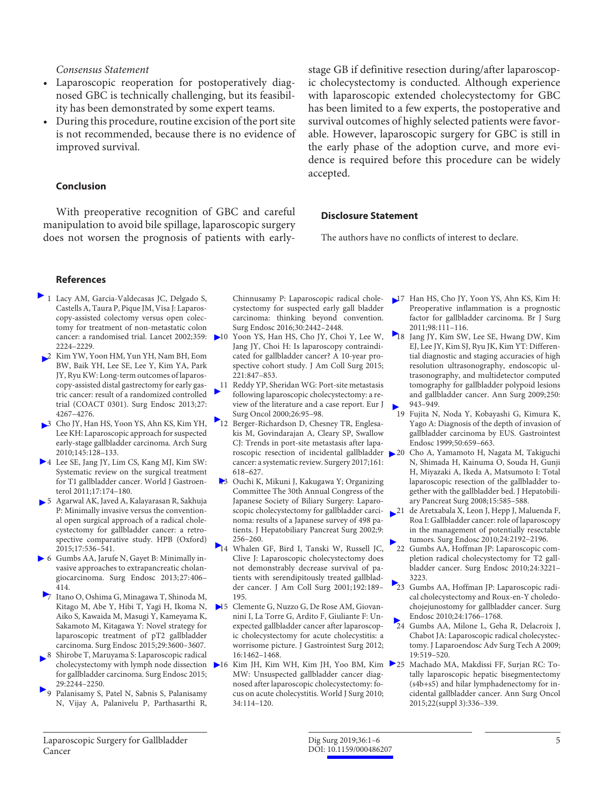#### *Consensus Statement*

- Laparoscopic reoperation for postoperatively diagnosed GBC is technically challenging, but its feasibility has been demonstrated by some expert teams.
- During this procedure, routine excision of the port site is not recommended, because there is no evidence of improved survival.

### **Conclusion**

With preoperative recognition of GBC and careful manipulation to avoid bile spillage, laparoscopic surgery does not worsen the prognosis of patients with earlystage GB if definitive resection during/after laparoscopic cholecystectomy is conducted. Although experience with laparoscopic extended cholecystectomy for GBC has been limited to a few experts, the postoperative and survival outcomes of highly selected patients were favorable. However, laparoscopic surgery for GBC is still in the early phase of the adoption curve, and more evidence is required before this procedure can be widely accepted.

### **Disclosure Statement**

The authors have no conflicts of interest to declare.

#### **References**

- 1 Lacy AM, Garcia-Valdecasas JC, Delgado S, Castells A, Taura P, Pique JM, Visa J: Laparoscopy-assisted colectomy versus open colectomy for treatment of non-metastatic colon cancer: a randomised trial. Lancet 2002;359: 10 2224–2229.
- 2 Kim YW, Yoon HM, Yun YH, Nam BH, Eom BW, Baik YH, Lee SE, Lee Y, Kim YA, Park JY, Ryu KW: Long-term outcomes of laparoscopy-assisted distal gastrectomy for early gastric cancer: result of a randomized controlled trial (COACT 0301). Surg Endosc 2013;27: 4267–4276.
- <sup>3</sup> Cho JY, Han HS, Yoon YS, Ahn KS, Kim YH, Lee KH: Laparoscopic approach for suspected early-stage gallbladder carcinoma. Arch Surg 2010;145:128–133.
- ▶ 4 Lee SE, Jang JY, Lim CS, Kang MJ, Kim SW: Systematic review on the surgical treatment for T1 gallbladder cancer. World J Gastroenterol 2011;17:174–180.
- 5 Agarwal AK, Javed A, Kalayarasan R, Sakhuja P: Minimally invasive versus the conventional open surgical approach of a radical cholecystectomy for gallbladder cancer: a retrospective comparative study. HPB (Oxford) 2015;17:536–541.
- 6 Gumbs AA, Jarufe N, Gayet B: Minimally invasive approaches to extrapancreatic cholangiocarcinoma. Surg Endosc 2013;27:406– 414.
- 7 Itano O, Oshima G, Minagawa T, Shinoda M, Kitago M, Abe Y, Hibi T, Yagi H, Ikoma N, Aiko S, Kawaida M, Masugi Y, Kameyama K, Sakamoto M, Kitagawa Y: Novel strategy for laparoscopic treatment of pT2 gallbladder carcinoma. Surg Endosc 2015;29:3600–3607.
- 8 Shirobe T, Maruyama S: Laparoscopic radical cholecystectomy with lymph node dissection for gallbladder carcinoma. Surg Endosc 2015; 29:2244–2250.
- 9 Palanisamy S, Patel N, Sabnis S, Palanisamy N, Vijay A, Palanivelu P, Parthasarthi R,

Chinnusamy P: Laparoscopic radical cholecystectomy for suspected early gall bladder carcinoma: thinking beyond convention. Surg Endosc 2016;30:2442–2448.

- Yoon YS, Han HS, Cho JY, Choi Y, Lee W, Jang JY, Choi H: Is laparoscopy contraindicated for gallbladder cancer? A 10-year prospective cohort study. J Am Coll Surg 2015; 221:847–853.
- 11 Reddy YP, Sheridan WG: Port-site metastasis following laparoscopic cholecystectomy: a review of the literature and a case report. Eur J Surg Oncol 2000;26:95–98.
- 12 Berger-Richardson D, Chesney TR, Englesakis M, Govindarajan A, Cleary SP, Swallow CJ: Trends in port-site metastasis after laparoscopic resection of incidental gallbladder > 20 cancer: a systematic review. Surgery 2017;161: 618–627.
- 13 Ouchi K, Mikuni J, Kakugawa Y; Organizing Committee The 30th Annual Congress of the Japanese Society of Biliary Surgery: Laparoscopic cholecystectomy for gallbladder carcinoma: results of a Japanese survey of 498 patients. J Hepatobiliary Pancreat Surg 2002;9: 256–260.
- 14 Whalen GF, Bird I, Tanski W, Russell JC, Clive J: Laparoscopic cholecystectomy does not demonstrably decrease survival of patients with serendipitously treated gallbladder cancer. J Am Coll Surg 2001;192:189– 195.
- 15 Clemente G, Nuzzo G, De Rose AM, Giovannini I, La Torre G, Ardito F, Giuliante F: Unexpected gallbladder cancer after laparoscopic cholecystectomy for acute cholecystitis: a worrisome picture. J Gastrointest Surg 2012; 16:1462–1468.
- $\blacktriangleright$ 16 Kim JH, Kim WH, Kim JH, Yoo BM, Kim  $\blacktriangleright$ 25 MW: Unsuspected gallbladder cancer diagnosed after laparoscopic cholecystectomy: focus on acute cholecystitis. World J Surg 2010; 34:114–120.
- 17 Han HS, Cho JY, Yoon YS, Ahn KS, Kim H: Preoperative inflammation is a prognostic factor for gallbladder carcinoma. Br J Surg 2011;98:111–116.
- 18 Jang JY, Kim SW, Lee SE, Hwang DW, Kim EJ, Lee JY, Kim SJ, Ryu JK, Kim YT: Differential diagnostic and staging accuracies of high resolution ultrasonography, endoscopic ultrasonography, and multidetector computed tomography for gallbladder polypoid lesions and gallbladder cancer. Ann Surg 2009;250: 943–949.
- 19 Fujita N, Noda Y, Kobayashi G, Kimura K, Yago A: Diagnosis of the depth of invasion of gallbladder carcinoma by EUS. Gastrointest Endosc 1999;50:659–663.
- Cho A, Yamamoto H, Nagata M, Takiguchi N, Shimada H, Kainuma O, Souda H, Gunji H, Miyazaki A, Ikeda A, Matsumoto I: Total laparoscopic resection of the gallbladder together with the gallbladder bed. J Hepatobiliary Pancreat Surg 2008;15:585–588.
- 21 de Aretxabala X, Leon J, Hepp J, Maluenda F, Roa I: Gallbladder cancer: role of laparoscopy in the management of potentially resectable tumors. Surg Endosc 2010;24:2192–2196.
- 22 Gumbs AA, Hoffman JP: Laparoscopic completion radical cholecystectomy for T2 gallbladder cancer. Surg Endosc 2010;24:3221– 3223.
- 23 Gumbs AA, Hoffman JP: Laparoscopic radical cholecystectomy and Roux-en-Y choledochojejunostomy for gallbladder cancer. Surg Endosc 2010;24:1766–1768.
- 24 Gumbs AA, Milone L, Geha R, Delacroix J, Chabot JA: Laparoscopic radical cholecystectomy. J Laparoendosc Adv Surg Tech A 2009; 19:519–520.
- 25 Machado MA, Makdissi FF, Surjan RC: Totally laparoscopic hepatic bisegmentectomy (s4b+s5) and hilar lymphadenectomy for incidental gallbladder cancer. Ann Surg Oncol 2015;22(suppl 3):336–339.